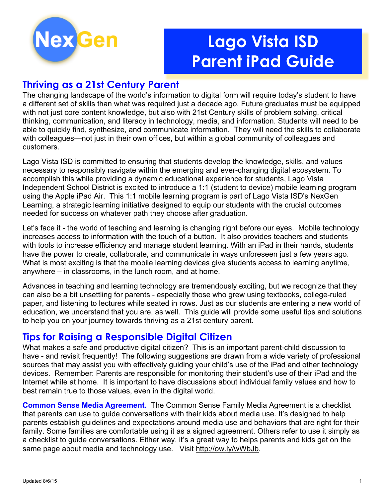

# **Lago Vista ISD Parent iPad Guide**

# **Thriving as a 21st Century Parent**

The changing landscape of the world's information to digital form will require today's student to have a different set of skills than what was required just a decade ago. Future graduates must be equipped with not just core content knowledge, but also with 21st Century skills of problem solving, critical thinking, communication, and literacy in technology, media, and information. Students will need to be able to quickly find, synthesize, and communicate information. They will need the skills to collaborate with colleagues—not just in their own offices, but within a global community of colleagues and customers.

Lago Vista ISD is committed to ensuring that students develop the knowledge, skills, and values necessary to responsibly navigate within the emerging and ever-changing digital ecosystem. To accomplish this while providing a dynamic educational experience for students, Lago Vista Independent School District is excited to introduce a 1:1 (student to device) mobile learning program using the Apple iPad Air. This 1:1 mobile learning program is part of Lago Vista ISD's NexGen Learning, a strategic learning initiative designed to equip our students with the crucial outcomes needed for success on whatever path they choose after graduation.

Let's face it - the world of teaching and learning is changing right before our eyes. Mobile technology increases access to information with the touch of a button. It also provides teachers and students with tools to increase efficiency and manage student learning. With an iPad in their hands, students have the power to create, collaborate, and communicate in ways unforeseen just a few years ago. What is most exciting is that the mobile learning devices give students access to learning anytime, anywhere – in classrooms, in the lunch room, and at home.

Advances in teaching and learning technology are tremendously exciting, but we recognize that they can also be a bit unsettling for parents - especially those who grew using textbooks, college-ruled paper, and listening to lectures while seated in rows. Just as our students are entering a new world of education, we understand that you are, as well. This guide will provide some useful tips and solutions to help you on your journey towards thriving as a 21st century parent.

# **Tips for Raising a Responsible Digital Citizen**

What makes a safe and productive digital citizen? This is an important parent-child discussion to have - and revisit frequently! The following suggestions are drawn from a wide variety of professional sources that may assist you with effectively guiding your child's use of the iPad and other technology devices. Remember: Parents are responsible for monitoring their student's use of their iPad and the Internet while at home. It is important to have discussions about individual family values and how to best remain true to those values, even in the digital world.

**Common Sense Media Agreement.** The Common Sense Family Media Agreement is a checklist that parents can use to guide conversations with their kids about media use. It's designed to help parents establish guidelines and expectations around media use and behaviors that are right for their family. Some families are comfortable using it as a signed agreement. Others refer to use it simply as a checklist to guide conversations. Either way, it's a great way to helps parents and kids get on the same page about media and technology use.Visit http://ow.ly/wWbJb.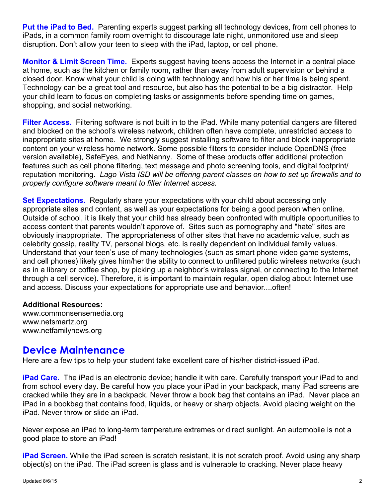**Put the iPad to Bed.** Parenting experts suggest parking all technology devices, from cell phones to iPads, in a common family room overnight to discourage late night, unmonitored use and sleep disruption. Don't allow your teen to sleep with the iPad, laptop, or cell phone.

**Monitor & Limit Screen Time.** Experts suggest having teens access the Internet in a central place at home, such as the kitchen or family room, rather than away from adult supervision or behind a closed door. Know what your child is doing with technology and how his or her time is being spent. Technology can be a great tool and resource, but also has the potential to be a big distractor.Help your child learn to focus on completing tasks or assignments before spending time on games, shopping, and social networking.

**Filter Access.** Filtering software is not built in to the iPad. While many potential dangers are filtered and blocked on the school's wireless network, children often have complete, unrestricted access to inappropriate sites at home.We strongly suggest installing software to filter and block inappropriate content on your wireless home network. Some possible filters to consider include OpenDNS (free version available), SafeEyes, and NetNanny. Some of these products offer additional protection features such as cell phone filtering, text message and photo screening tools, and digital footprint/ reputation monitoring. *Lago Vista ISD will be offering parent classes on how to set up firewalls and to properly configure software meant to filter Internet access.*

**Set Expectations.** Regularly share your expectations with your child about accessing only appropriate sites and content, as well as your expectations for being a good person when online. Outside of school, it is likely that your child has already been confronted with multiple opportunities to access content that parents wouldn't approve of. Sites such as pornography and "hate" sites are obviously inappropriate. The appropriateness of other sites that have no academic value, such as celebrity gossip, reality TV, personal blogs, etc. is really dependent on individual family values. Understand that your teen's use of many technologies (such as smart phone video game systems, and cell phones) likely gives him/her the ability to connect to unfiltered public wireless networks (such as in a library or coffee shop, by picking up a neighbor's wireless signal, or connecting to the Internet through a cell service). Therefore, it is important to maintain regular, open dialog about Internet use and access. Discuss your expectations for appropriate use and behavior....often!

### **Additional Resources:**

www.commonsensemedia.org www.netsmartz.org www.netfamilynews.org

## **Device Maintenance**

Here are a few tips to help your student take excellent care of his/her district-issued iPad.

**iPad Care.** The iPad is an electronic device; handle it with care. Carefully transport your iPad to and from school every day. Be careful how you place your iPad in your backpack, many iPad screens are cracked while they are in a backpack. Never throw a book bag that contains an iPad. Never place an iPad in a bookbag that contains food, liquids, or heavy or sharp objects. Avoid placing weight on the iPad. Never throw or slide an iPad.

Never expose an iPad to long-term temperature extremes or direct sunlight. An automobile is not a good place to store an iPad!

**iPad Screen.** While the iPad screen is scratch resistant, it is not scratch proof. Avoid using any sharp object(s) on the iPad. The iPad screen is glass and is vulnerable to cracking. Never place heavy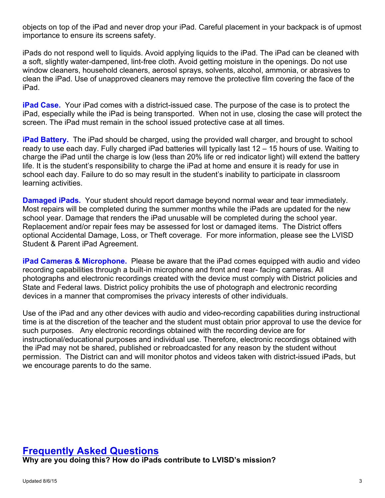objects on top of the iPad and never drop your iPad. Careful placement in your backpack is of upmost importance to ensure its screens safety.

iPads do not respond well to liquids. Avoid applying liquids to the iPad. The iPad can be cleaned with a soft, slightly water-dampened, lint-free cloth. Avoid getting moisture in the openings. Do not use window cleaners, household cleaners, aerosol sprays, solvents, alcohol, ammonia, or abrasives to clean the iPad. Use of unapproved cleaners may remove the protective film covering the face of the iPad.

**iPad Case.** Your iPad comes with a district-issued case. The purpose of the case is to protect the iPad, especially while the iPad is being transported. When not in use, closing the case will protect the screen. The iPad must remain in the school issued protective case at all times.

**iPad Battery.** The iPad should be charged, using the provided wall charger, and brought to school ready to use each day. Fully charged iPad batteries will typically last 12 – 15 hours of use. Waiting to charge the iPad until the charge is low (less than 20% life or red indicator light) will extend the battery life. It is the student's responsibility to charge the iPad at home and ensure it is ready for use in school each day. Failure to do so may result in the student's inability to participate in classroom learning activities.

**Damaged iPads.** Your student should report damage beyond normal wear and tear immediately. Most repairs will be completed during the summer months while the iPads are updated for the new school year. Damage that renders the iPad unusable will be completed during the school year. Replacement and/or repair fees may be assessed for lost or damaged items. The District offers optional Accidental Damage, Loss, or Theft coverage. For more information, please see the LVISD Student & Parent iPad Agreement.

**iPad Cameras & Microphone.** Please be aware that the iPad comes equipped with audio and video recording capabilities through a built-in microphone and front and rear- facing cameras. All photographs and electronic recordings created with the device must comply with District policies and State and Federal laws. District policy prohibits the use of photograph and electronic recording devices in a manner that compromises the privacy interests of other individuals.

Use of the iPad and any other devices with audio and video-recording capabilities during instructional time is at the discretion of the teacher and the student must obtain prior approval to use the device for such purposes. Any electronic recordings obtained with the recording device are for instructional/educational purposes and individual use. Therefore, electronic recordings obtained with the iPad may not be shared, published or rebroadcasted for any reason by the student without permission. The District can and will monitor photos and videos taken with district-issued iPads, but we encourage parents to do the same.

# **Frequently Asked Questions**

**Why are you doing this? How do iPads contribute to LVISD's mission?**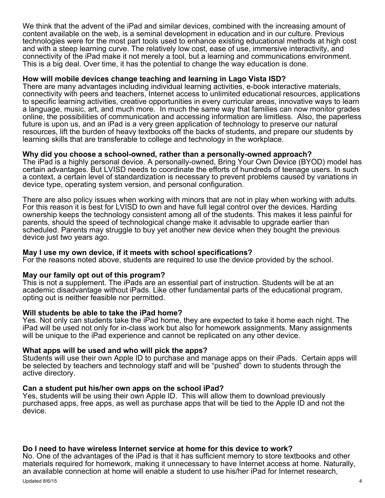We think that the advent of the iPad and similar devices, combined with the increasing amount of content available on the web, is a seminal development in education and in our culture. Previous technologies were for the most part tools used to enhance existing educational methods at high cost and with a steep learning curve. The relatively low cost, ease of use, immersive interactivity, and connectivity of the iPad make it not merely a tool, but a learning and communications environment. This is a big deal. Over time, it has the potential to change the way education is done.

#### **How will mobile devices change teaching and learning in Lago Vista ISD?**

There are many advantages including individual learning activities, e-book interactive materials, connectivity with peers and teachers, Internet access to unlimited educational resources, applications to specific learning activities, creative opportunities in every curricular areas, innovative ways to learn a language, music, art, and much more. In much the same way that families can now monitor grades online, the possibilities of communication and accessing information are limitless. Also, the paperless future is upon us, and an iPad is a very green application of technology to preserve our natural resources, lift the burden of heavy textbooks off the backs of students, and prepare our students by learning skills that are transferable to college and technology in the workplace.

#### **Why did you choose a school-owned, rather than a personally-owned approach?**

The iPad is a highly personal device. A personally-owned, Bring Your Own Device (BYOD) model has certain advantages. But LVISD needs to coordinate the efforts of hundreds of teenage users. In such a context, a certain level of standardization is necessary to prevent problems caused by variations in device type, operating system version, and personal configuration.

There are also policy issues when working with minors that are not in play when working with adults. For this reason it is best for LVISD to own and have full legal control over the devices. Harding ownership keeps the technology consistent among all of the students. This makes it less painful for parents, should the speed of technological change make it advisable to upgrade earlier than scheduled. Parents may struggle to buy yet another new device when they bought the previous device just two years ago.

#### **May I use my own device, if it meets with school specifications?**

For the reasons noted above, students are required to use the device provided by the school.

#### **May our family opt out of this program?**

This is not a supplement. The iPads are an essential part of instruction. Students will be at an academic disadvantage without iPads. Like other fundamental parts of the educational program, opting out is neither feasible nor permitted.

#### **Will students be able to take the iPad home?**

Yes. Not only can students take the iPad home, they are expected to take it home each night. The iPad will be used not only for in-class work but also for homework assignments. Many assignments will be unique to the iPad experience and cannot be replicated on any other device.

What apps will be used and who will pick the apps?<br>Students will use their own Apple ID to purchase and manage apps on their iPads. Certain apps will be selected by teachers and technology staff and will be "pushed" down to students through the active directory.

#### **Can a student put his/her own apps on the school iPad?**

Yes, students will be using their own Apple ID. This will allow them to download previously purchased apps, free apps, as well as purchase apps that will be tied to the Apple ID and not the device.

#### **Do I need to have wireless Internet service at home for this device to work?**

No. One of the advantages of the iPad is that it has sufficient memory to store textbooks and other materials required for homework, making it unnecessary to have Internet access at home. Naturally, an available connection at home will enable a student to use his/her iPad for Internet research,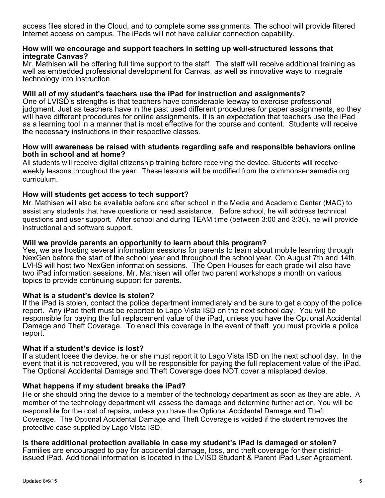access files stored in the Cloud, and to complete some assignments. The school will provide filtered Internet access on campus. The iPads will not have cellular connection capability.

#### **How will we encourage and support teachers in setting up well-structured lessons that integrate Canvas?**

Mr. Mathisen will be offering full time support to the staff. The staff will receive additional training as well as embedded professional development for Canvas, as well as innovative ways to integrate technology into instruction.

#### **Will all of my student's teachers use the iPad for instruction and assignments?**

One of LVISD's strengths is that teachers have considerable leeway to exercise professional judgment. Just as teachers have in the past used different procedures for paper assignments, so they will have different procedures for online assignments. It is an expectation that teachers use the iPad as a learning tool in a manner that is most effective for the course and content. Students will receive the necessary instructions in their respective classes.

#### **How will awareness be raised with students regarding safe and responsible behaviors online both in school and at home?**

All students will receive digital citizenship training before receiving the device. Students will receive weekly lessons throughout the year. These lessons will be modified from the commonsensemedia.org curriculum.

### **How will students get access to tech support?**

Mr. Mathisen will also be available before and after school in the Media and Academic Center (MAC) to assist any students that have questions or need assistance. Before school, he will address technical questions and user support. After school and during TEAM time (between 3:00 and 3:30), he will provide instructional and software support.

#### **Will we provide parents an opportunity to learn about this program?**

Yes, we are hosting several information sessions for parents to learn about mobile learning through NexGen before the start of the school year and throughout the school year. On August 7th and 14th, LVHS will host two NexGen information sessions. The Open Houses for each grade will also have two iPad information sessions. Mr. Mathisen will offer two parent workshops a month on various topics to provide continuing support for parents.

#### **What is a student's device is stolen?**

If the iPad is stolen, contact the police department immediately and be sure to get a copy of the police report. Any iPad theft must be reported to Lago Vista ISD on the next school day. You will be responsible for paying the full replacement value of the iPad, unless you have the Optional Accidental Damage and Theft Coverage. To enact this coverage in the event of theft, you must provide a police report.

#### **What if a student's device is lost?**

If a student loses the device, he or she must report it to Lago Vista ISD on the next school day. In the event that it is not recovered, you will be responsible for paying the full replacement value of the iPad. The Optional Accidental Damage and Theft Coverage does NOT cover a misplaced device.

### **What happens if my student breaks the iPad?**

He or she should bring the device to a member of the technology department as soon as they are able. A member of the technology department will assess the damage and determine further action. You will be responsible for the cost of repairs, unless you have the Optional Accidental Damage and Theft Coverage. The Optional Accidental Damage and Theft Coverage is voided if the student removes the protective case supplied by Lago Vista ISD.

**Is there additional protection available in case my student's iPad is damaged or stolen?**  issued iPad. Additional information is located in the LVISD Student & Parent iPad User Agreement.